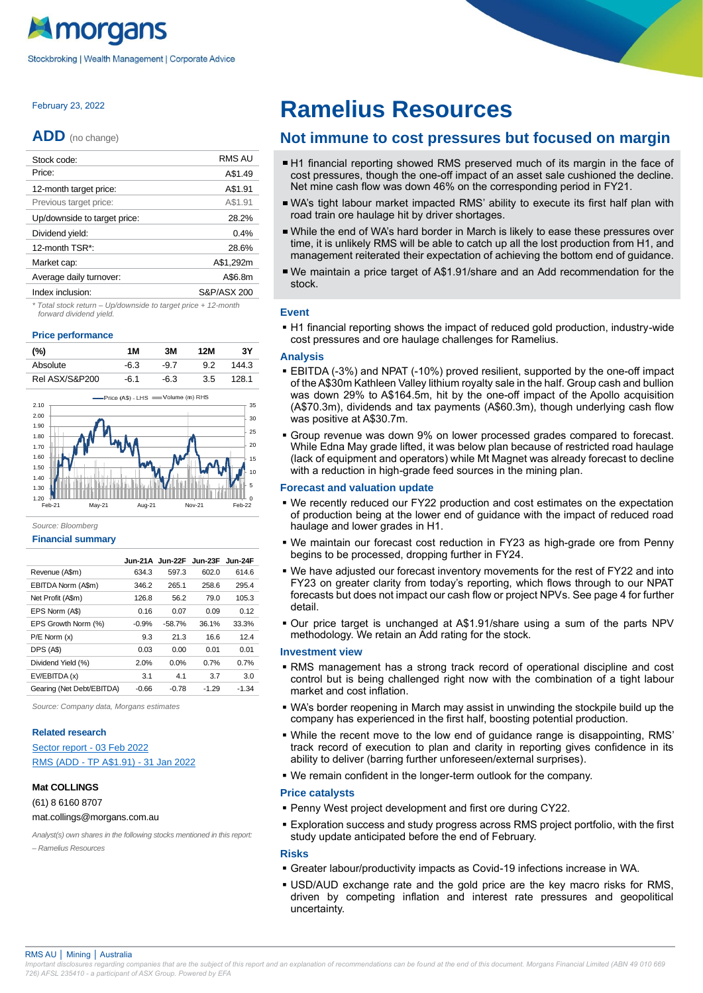Stockbroking | Wealth Management | Corporate Advice

#### February 23, 2022

#### **ADD** (no change)

| Stock code:                  | <b>RMS AU</b> |
|------------------------------|---------------|
| Price:                       | A\$1.49       |
| 12-month target price:       | A\$1.91       |
| Previous target price:       | A\$1.91       |
| Up/downside to target price: | 28.2%         |
| Dividend yield:              | 0.4%          |
| 12-month TSR*:               | 28.6%         |
| Market cap:                  | A\$1,292m     |
| Average daily turnover:      | A\$6.8m       |
| Index inclusion:             | S&P/ASX 200   |
|                              |               |

*\* Total stock return – Up/downside to target price + 12-month forward dividend yield.*

#### **Price performance**





#### *Source: Bloomberg*

#### **Financial summary**

|                                                                                                                                           |         |          | Jun-21A Jun-22F Jun-23F Jun-24F |         | begins to be                                                                         |
|-------------------------------------------------------------------------------------------------------------------------------------------|---------|----------|---------------------------------|---------|--------------------------------------------------------------------------------------|
| Revenue (A\$m)                                                                                                                            | 634.3   | 597.3    | 602.0                           | 614.6   | ■ We have ao                                                                         |
| EBITDA Norm (A\$m)                                                                                                                        | 346.2   | 265.1    | 258.6                           | 295.4   | FY23 on gr                                                                           |
| Net Profit (A\$m)                                                                                                                         | 126.8   | 56.2     | 79.0                            | 105.3   | forecasts bi                                                                         |
| EPS Norm (A\$)                                                                                                                            | 0.16    | 0.07     | 0.09                            | 0.12    | detail.                                                                              |
| EPS Growth Norm (%)                                                                                                                       | $-0.9%$ | $-58.7%$ | 36.1%                           | 33.3%   | • Our price t                                                                        |
| $P/E$ Norm $(x)$                                                                                                                          | 9.3     | 21.3     | 16.6                            | 12.4    | methodolog                                                                           |
| DPS (A\$)                                                                                                                                 | 0.03    | 0.00     | 0.01                            | 0.01    | <b>Investment v</b>                                                                  |
| Dividend Yield (%)                                                                                                                        | 2.0%    | 0.0%     | 0.7%                            | 0.7%    | ■ RMS mana                                                                           |
| EV/EBITDA (x)                                                                                                                             | 3.1     | 4.1      | 3.7                             | 3.0     | control but                                                                          |
| Gearing (Net Debt/EBITDA)                                                                                                                 | $-0.66$ | $-0.78$  | $-1.29$                         | $-1.34$ | market and                                                                           |
| Source: Company data, Morgans estimates<br><b>Related research</b><br>Sector report - 03 Feb 2022<br>RMS (ADD - TP A\$1.91) - 31 Jan 2022 |         |          |                                 |         | ■ WA's borde<br>company ha<br>$\bullet$ While the r<br>track record<br>ability to de |
| <b>Mat COLLINGS</b>                                                                                                                       |         |          |                                 |         | $\blacksquare$ We remain                                                             |
| (61) 8 6160 8707<br>mat.collings@morgans.com.au<br>Analyst(s) own shares in the following stocks mentioned in this report:                |         |          |                                 |         | <b>Price catalys</b><br>■ Penny Wes<br>■ Exploration<br>study updat                  |
| - Ramelius Resources                                                                                                                      |         |          |                                 |         | <b>Risks</b>                                                                         |
|                                                                                                                                           |         |          |                                 |         | ■ Greater lab                                                                        |
|                                                                                                                                           |         |          |                                 |         | ▪ USD/AUD<br>driven by<br>uncertainty.                                               |

#### **Related research**

#### **Mat COLLINGS**

#### (61) 8 6160 8707

### **Ramelius Resources**

### **Not immune to cost pressures but focused on margin**

- H1 financial reporting showed RMS preserved much of its margin in the face of cost pressures, though the one-off impact of an asset sale cushioned the decline. Net mine cash flow was down 46% on the corresponding period in FY21.
- WA's tight labour market impacted RMS' ability to execute its first half plan with road train ore haulage hit by driver shortages.
- While the end of WA's hard border in March is likely to ease these pressures over time, it is unlikely RMS will be able to catch up all the lost production from H1, and management reiterated their expectation of achieving the bottom end of guidance.
- We maintain a price target of A\$1.91/share and an Add recommendation for the stock.

#### **Event**

■ H1 financial reporting shows the impact of reduced gold production, industry-wide cost pressures and ore haulage challenges for Ramelius.

#### **Analysis**

- **EBITDA (-3%) and NPAT (-10%) proved resilient, supported by the one-off impact** of the A\$30m Kathleen Valley lithium royalty sale in the half. Group cash and bullion was down 29% to A\$164.5m, hit by the one-off impact of the Apollo acquisition (A\$70.3m), dividends and tax payments (A\$60.3m), though underlying cash flow was positive at A\$30.7m.
- Group revenue was down 9% on lower processed grades compared to forecast. While Edna May grade lifted, it was below plan because of restricted road haulage (lack of equipment and operators) while Mt Magnet was already forecast to decline with a reduction in high-grade feed sources in the mining plan.

#### **Forecast and valuation update**

- We recently reduced our FY22 production and cost estimates on the expectation of production being at the lower end of guidance with the impact of reduced road haulage and lower grades in H1.
- We maintain our forecast cost reduction in FY23 as high-grade ore from Penny begins to be processed, dropping further in FY24.
- We have adjusted our forecast inventory movements for the rest of FY22 and into FY23 on greater clarity from today's reporting, which flows through to our NPAT forecasts but does not impact our cash flow or project NPVs. See page 4 for further detail.
- Our price target is unchanged at A\$1.91/share using a sum of the parts NPV methodology. We retain an Add rating for the stock.

#### **Investment view**

- RMS management has a strong track record of operational discipline and cost control but is being challenged right now with the combination of a tight labour market and cost inflation.
- WA's border reopening in March may assist in unwinding the stockpile build up the company has experienced in the first half, boosting potential production.
- While the recent move to the low end of guidance range is disappointing, RMS' track record of execution to plan and clarity in reporting gives confidence in its ability to deliver (barring further unforeseen/external surprises).
- We remain confident in the longer-term outlook for the company.

#### **Price catalysts**

- Penny West project development and first ore during CY22.
- **Exploration success and study progress across RMS project portfolio, with the first** study update anticipated before the end of February.

#### **Risks**

- Greater labour/productivity impacts as Covid-19 infections increase in WA.
- **.** USD/AUD exchange rate and the gold price are the key macro risks for RMS, driven by competing inflation and interest rate pressures and geopolitical

#### RMS AU │ Mining │ Australia

*Important disclosures regarding companies that are the subject of this report and an explanation of recommendations can be found at the end of this document. Morgans Financial Limited (ABN 49 010 669 726) AFSL 235410 - a participant of ASX Group. Powered b[y EFA](http://www.efa.biz/)*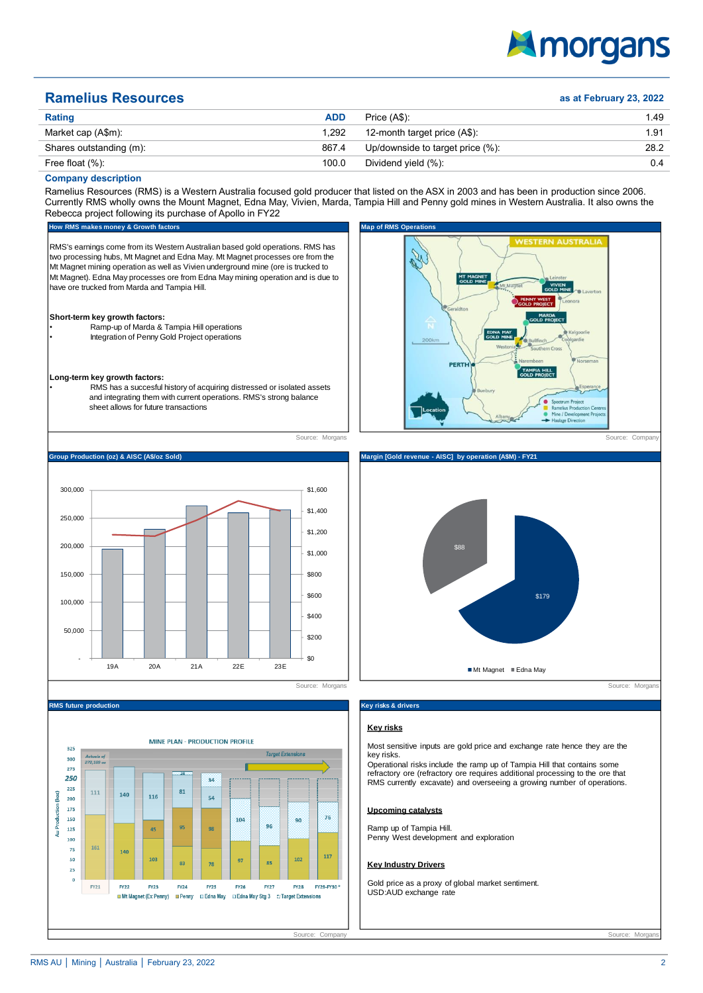## **Amorgans**

### **Ramelius Resources as at February 23, 2022**

| Rating                  | <b>ADD</b> | Price (A\$):                     | 1.49          |
|-------------------------|------------|----------------------------------|---------------|
| Market cap (A\$m):      | 1.292      | 12-month target price (A\$):     | 1.91          |
| Shares outstanding (m): | 867.4      | Up/downside to target price (%): | 28.2          |
| Free float $(\%)$ :     | 100.0      | Dividend yield (%):              | $0.4^{\circ}$ |

#### **Company description**

Ramelius Resources (RMS) is a Western Australia focused gold producer that listed on the ASX in 2003 and has been in production since 2006. Currently RMS wholly owns the Mount Magnet, Edna May, Vivien, Marda, Tampia Hill and Penny gold mines in Western Australia. It also owns the Rebecca project following its purchase of Apollo in FY22



**Key Industry Drivers**

 $117$ 

FY29-FY30

102

**FY28** 

 $\overline{85}$ 

 $FY27$ 

 $\sim$ 

**FY26** 

Gold price as a proxy of global market sentiment. USD:AUD exchange rate

Source: Company Source: Morgans Source: Morgans Source: Morgans Source: Morgans Source: Mo

 $FY22$ 

103

EVER

<sub>on</sub>

**FY24** 

 $78$ 

 $FY25$ 

Mt Magnet (Ex Penny) Denny DEdna May DEdna May Stg 3 C Target Extensions

 $75$ 

50

 $25$ ł.  $FY21$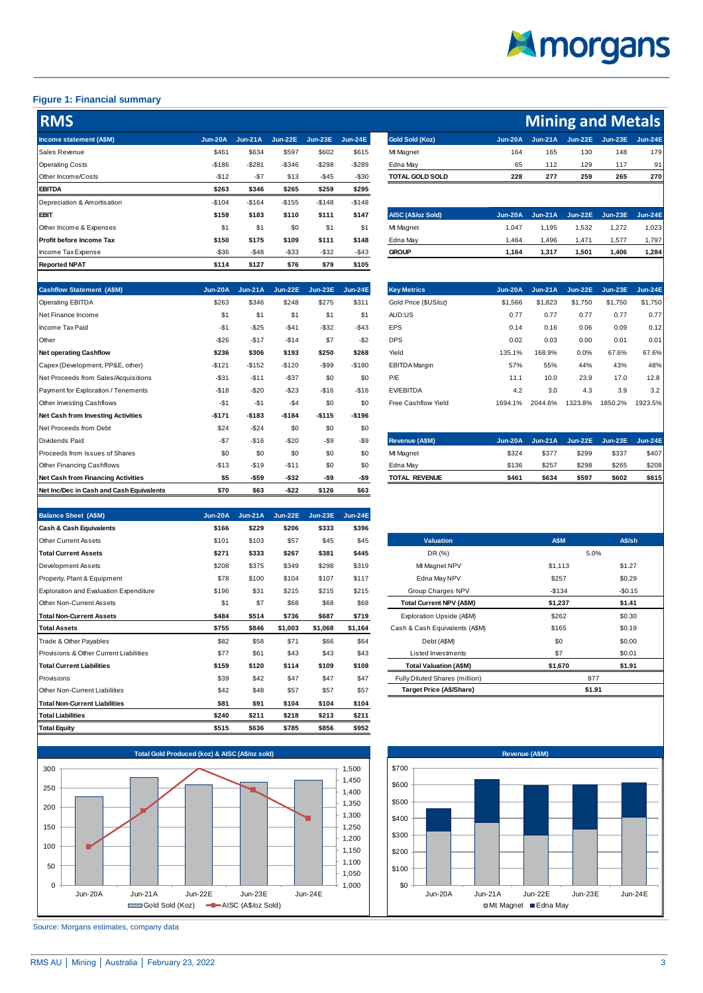# **Amorgans**

#### **Figure 1: Financial summary**

| <b>RMS</b>                      |           |           |                |           |           |                        |                | <b>Mining and Metals</b> |                |                |                |
|---------------------------------|-----------|-----------|----------------|-----------|-----------|------------------------|----------------|--------------------------|----------------|----------------|----------------|
| Income statement (A\$M)         | $Jun-20A$ | $Jun-21A$ | <b>Jun-22E</b> | $Jun-23E$ | $Jun-24E$ | <b>Gold Sold (Koz)</b> | $Jun-20A$      | $Jun-21A$                | <b>Jun-22E</b> | $Jun-23E$      | <b>Jun-24E</b> |
| Sales Revenue                   | \$461     | \$634     | \$597          | \$602     | \$615     | Mt Magnet              | 164            | 165                      | 130            | 148            | 179            |
| <b>Operating Costs</b>          | $-$186$   | $-$281$   | $-$ \$346      | $-$298$   | $-$289$   | Edna May               | 65             | 112                      | 129            | 117            | 91             |
| Other Income/Costs              | $-$12$    | $-$7$     | \$13           | $-$45$    | $-$30$    | <b>TOTAL GOLD SOLD</b> | 228            | 277                      | 259            | 265            | 270            |
| <b>EBITDA</b>                   | \$263     | \$346     | \$265          | \$259     | \$295     |                        |                |                          |                |                |                |
| Depreciation & Amortisation     | $-$104$   | $-$164$   | $-$155$        | $-$148$   | $-$148$   |                        |                |                          |                |                |                |
| <b>EBIT</b>                     | \$159     | \$183     | \$110          | \$111     | \$147     | AISC (A\$/oz Sold)     | <b>Jun-20A</b> | $Jun-21A$                | $Jun-22E$      | <b>Jun-23E</b> | <b>Jun-24E</b> |
| Other Income & Expenses         | \$1       | \$1       | \$0            | \$1       | \$1       | Mt Magnet              | 1,047          | 1,195                    | 1,532          | 1,272          | 1,023          |
| <b>Profit before Income Tax</b> | \$150     | \$175     | \$109          | \$111     | \$148     | Edna May               | 1,464          | 1.496                    | 1.471          | 1,577          | 1,797          |
| Income Tax Expense              | $-$ \$36  | $-$ \$48  | $-$33$         | $-$ \$32  | $-$43$    | <b>GROUP</b>           | 1,164          | 1,317                    | 1,501          | 1,406          | 1,284          |
| <b>Reported NPAT</b>            | \$114     | \$127     | \$76           | \$79      | \$105     |                        |                |                          |                |                |                |

| <b>Reported NPAT</b>                      | \$114          | \$127     | \$76           | \$79      | \$105          |                       |                |                |                |                |                |
|-------------------------------------------|----------------|-----------|----------------|-----------|----------------|-----------------------|----------------|----------------|----------------|----------------|----------------|
| <b>Cashflow Statement (A\$M)</b>          | <b>Jun-20A</b> | $Jun-21A$ | <b>Jun-22E</b> | $Jun-23E$ | <b>Jun-24E</b> | <b>Key Metrics</b>    | <b>Jun-20A</b> | <b>Jun-21A</b> | <b>Jun-22E</b> | <b>Jun-23E</b> | <b>Jun-24E</b> |
| Operating EBITDA                          | \$263          | \$346     | \$248          | \$275     | \$311          | Gold Price (\$US/oz)  | \$1,566        | \$1,823        | \$1,750        | \$1,750        | \$1,750        |
| Net Finance Income                        | \$1            | \$1       | \$1            | \$1       | \$1            | AUD:US                | 0.77           | 0.77           | 0.77           | 0.77           | 0.77           |
| Income Tax Paid                           | $-$1$          | $-$25$    | $-$41$         | $-$32$    | $-$43$         | <b>EPS</b>            | 0.14           | 0.16           | 0.06           | 0.09           | 0.12           |
| Other                                     | $-$26$         | $-$17$    | $-$14$         | \$7       | $-$ \$2        | <b>DPS</b>            | 0.02           | 0.03           | 0.00           | 0.01           | 0.01           |
| <b>Net operating Cashflow</b>             | \$236          | \$306     | \$193          | \$250     | \$268          | Yield                 | 135.1%         | 168.9%         | 0.0%           | 67.6%          | 67.6%          |
| Capex (Development, PP&E, other)          | $-$121$        | $-$152$   | $-$120$        | $-$ \$99  | $-$180$        | <b>EBITDA Margin</b>  | 57%            | 55%            | 44%            | 43%            | 48%            |
| Net Proceeds from Sales/Acquisitions      | $-$31$         | $-$11$    | $-$37$         | \$0       | \$0            | P/E                   | 11.1           | 10.0           | 23.9           | 17.0           | 12.8           |
| Payment for Exploration / Tenements       | $-$18$         | $-$20$    | $-$23$         | $-$16$    | $-$16$         | <b>EV/EBITDA</b>      | 4.2            | 3.0            | 4.3            | 3.9            | 3.2            |
| Other Investing Cashflows                 | $-$1$          | $-51$     | $-$ \$4        | \$0       | \$0            | Free Cashflow Yield   | 1694.1%        | 2044.6%        | 1323.8%        | 1850.2%        | 1923.5%        |
| <b>Net Cash from Investing Activities</b> | $-5171$        | $-$183$   | $-$184$        | $-$115$   | $-$196$        |                       |                |                |                |                |                |
| Net Proceeds from Debt                    | \$24           | $-$24$    | \$0            | \$0       | \$0            |                       |                |                |                |                |                |
| <b>Dividends Paid</b>                     | $-$7$          | $-$16$    | $-$20$         | $-59$     | $-$ \$9        | <b>Revenue (A\$M)</b> | <b>Jun-20A</b> | <b>Jun-21A</b> | <b>Jun-22E</b> | $Jun-23E$      | <b>Jun-24E</b> |
| Proceeds from Issues of Shares            | \$0            | \$0       | \$0            | \$0       | \$0            | Mt Magnet             | \$324          | \$377          | \$299          | \$337          | \$407          |
| Other Financing Cashflows                 | $-$13$         | $-$19$    | $-$11$         | \$0       | \$0            | Edna May              | \$136          | \$257          | \$298          | \$265          | \$208          |
| <b>Net Cash from Financing Activities</b> | \$5            | -\$59     | $-532$         | -\$9      | -\$9           | <b>TOTAL REVENUE</b>  | \$461          | \$634          | \$597          | \$602          | \$615          |
| Net Inc/Dec in Cash and Cash Equivalents  | \$70           | \$63      | $-522$         | \$126     | \$63           |                       |                |                |                |                |                |

|                        |           | <b>Mining and Metals</b> |                |           |           |
|------------------------|-----------|--------------------------|----------------|-----------|-----------|
| <b>Gold Sold (Koz)</b> | $Jun-20A$ | Jun-21A                  | <b>Jun-22E</b> | $Jun-23E$ | $Jun-24E$ |
| Mt Magnet              | 164       | 165                      | 130            | 148       | 179       |
| Edna May               | 65        | 112                      | 129            | 117       | 91        |
| <b>TOTAL GOLD SOLD</b> | 228       | 277                      | 259            | 265       | 270       |
|                        |           |                          |                |           |           |

| AISC (A\$/oz Sold) | $Jun-20A$ | Jun-21A | <b>Jun-22E</b> | $Jun-23E$ | $Jun-24E$ |
|--------------------|-----------|---------|----------------|-----------|-----------|
| Mt Magnet          | 1.047     | 1.195   | 1.532          | 1.272     | 1,023     |
| Edna May           | 1.464     | 1.496   | 1.471          | 1.577     | 1,797     |
| <b>GROUP</b>       | 1.164     | 1.317   | 1.501          | 1.406     | 1,284     |

| <b>Key Metrics</b>   | <b>Jun-20A</b> | <b>Jun-21A</b> | <b>Jun-22E</b> | <b>Jun-23E</b> | <b>Jun-24E</b> |
|----------------------|----------------|----------------|----------------|----------------|----------------|
| Gold Price (\$US/oz) | \$1,566        | \$1,823        | \$1.750        | \$1,750        | \$1,750        |
| AUD:US               | 0.77           | 0.77           | 0.77           | 0.77           | 0.77           |
| EPS                  | 0.14           | 0.16           | 0.06           | 0.09           | 0.12           |
| <b>DPS</b>           | 0.02           | 0.03           | 0.00           | 0.01           | 0.01           |
| Yield                | 135.1%         | 168.9%         | 0.0%           | 67.6%          | 67.6%          |
| <b>EBITDA Margin</b> | 57%            | 55%            | 44%            | 43%            | 48%            |
| P/E                  | 11.1           | 10.0           | 23.9           | 17.0           | 12.8           |
| <b>EV/EBITDA</b>     | 4.2            | 3.0            | 4.3            | 3.9            | 3.2            |
| Free Cashflow Yield  | 1694.1%        | 2044.6%        | 1323.8%        | 1850.2%        | 1923.5%        |
|                      |                |                |                |                |                |

| Revenue (A\$M)       | $Jun-20A$ | Jun-21A | $Jun-22E$ | $Jun-23E$ | $Jun-24E$ |
|----------------------|-----------|---------|-----------|-----------|-----------|
| Mt Magnet            | \$324     | \$377   | \$299     | \$337     | \$407     |
| Edna May             | \$136     | \$257   | \$298     | \$265     | \$208     |
| <b>TOTAL REVENUE</b> | \$461     | \$634   | \$597     | \$602     | \$615     |

| <b>Balance Sheet (A\$M)</b>                   | <b>Jun-20A</b> | <b>Jun-21A</b> | <b>Jun-22E</b> | $Jun-23E$ | <b>Jun-24E</b> |                               |
|-----------------------------------------------|----------------|----------------|----------------|-----------|----------------|-------------------------------|
| Cash & Cash Equivalents                       | \$166          | \$229          | \$206          | \$333     | \$396          |                               |
| Other Current Assets                          | \$101          | \$103          | \$57           | \$45      | \$45           | <b>Valuation</b>              |
| <b>Total Current Assets</b>                   | \$271          | \$333          | \$267          | \$381     | \$445          | DR (%)                        |
| Development Assets                            | \$208          | \$375          | \$349          | \$298     | \$319          | Mt Magnet NPV                 |
| Property, Plant & Equipment                   | \$78           | \$100          | \$104          | \$107     | \$117          | Edna May NPV                  |
| <b>Exploration and Evaluation Expenditure</b> | \$196          | \$31           | \$215          | \$215     | \$215          | Group Charges NPV             |
| Other Non-Current Assets                      | \$1            | \$7            | \$68           | \$68      | \$68           | Total Current NPV (A\$M)      |
| <b>Total Non-Current Assets</b>               | \$484          | \$514          | \$736          | \$687     | \$719          | Exploration Upside (A\$M)     |
| <b>Total Assets</b>                           | \$755          | \$846          | \$1,003        | \$1,068   | \$1,164        | Cash & Cash Equivalents (A)   |
| Trade & Other Payables                        | \$82           | \$58           | \$71           | \$66      | \$64           | Debt (ASM)                    |
| Provisions & Other Current Liabilities        | \$77           | \$61           | \$43           | \$43      | \$43           | Listed Investments            |
| <b>Total Current Liabilities</b>              | \$159          | \$120          | \$114          | \$109     | \$108          | <b>Total Valuation (A\$M)</b> |
| Provisions                                    | \$39           | \$42           | \$47           | \$47      | \$47           | Fully Diluted Shares (millio  |
| Other Non-Current Liabilities                 | \$42           | \$48           | \$57           | \$57      | \$57           | Target Price (A\$/Share)      |
| <b>Total Non-Current Liabilities</b>          | \$81           | \$91           | \$104          | \$104     | \$104          |                               |
| <b>Total Liabilities</b>                      | \$240          | \$211          | \$218          | \$213     | \$211          |                               |
| <b>Total Equity</b>                           | \$515          | \$636          | \$785          | \$856     | \$952          |                               |



Source: Morgans estimates, company data

#### Mt Magnet NPV Edna May NPV Group Charges NPV  $Exploration Upside (A$M)$  $\text{Cash & Cash Equivalents (A$M)}$ Listed Investments  $Total Valuation (A$M)$ Fully Diluted Shares (million) **Target Price (A\$/Share)** \$257 **\$1.91** 877 **\$1,670 \$1.91** \$165 \$0.19 -\$134 -\$0.15 134 5.0.15<br>
134 5.0.15<br>
137 \$1.41<br>
262 \$0.30<br>
165 \$0.19<br>
\$0<br>
\$7 \$0.01 1.237 \$1.41<br>
262 \$0.30<br>
165 \$0.19<br>
50.01<br>
50.01<br>
7 \$1.91 \$262 \$1.27 \$0.29 \$0.30 **A\$M A\$/sh** 5.0% **\$1,237 \$1.41** \$1,113



RMS AU │ Mining │ Australia │ February 23, 2022 39 2022 39 2021 39 2022 30 2021 31 2022 31 2022 31 2022 31 2022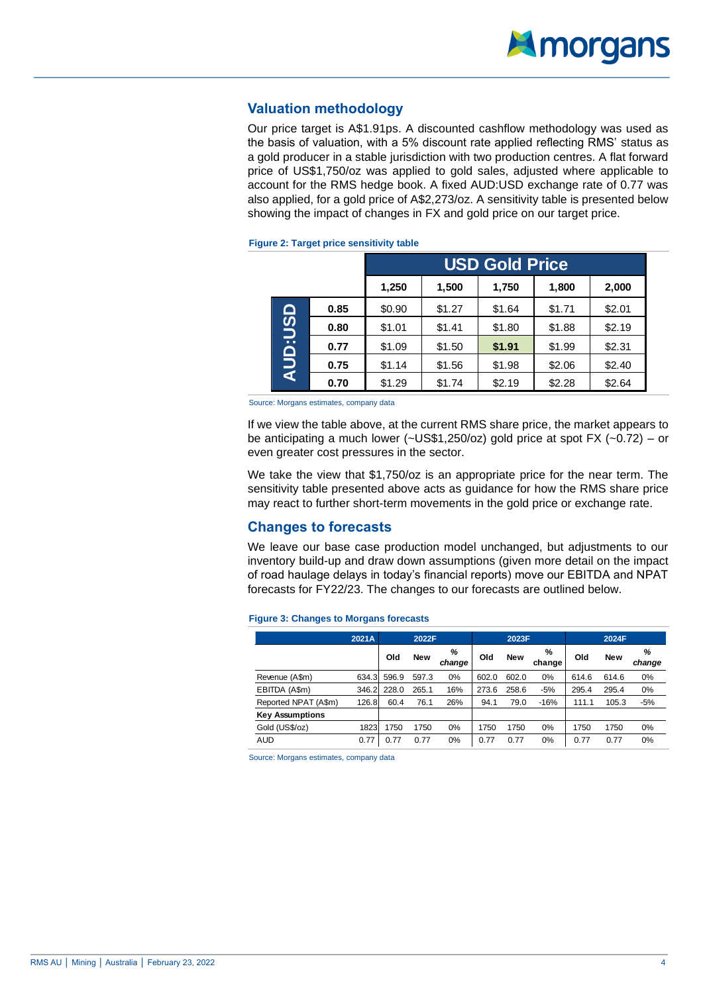#### **Valuation methodology**

Our price target is A\$1.91ps. A discounted cashflow methodology was used as the basis of valuation, with a 5% discount rate applied reflecting RMS' status as a gold producer in a stable jurisdiction with two production centres. A flat forward price of US\$1,750/oz was applied to gold sales, adjusted where applicable to account for the RMS hedge book. A fixed AUD:USD exchange rate of 0.77 was also applied, for a gold price of A\$2,273/oz. A sensitivity table is presented below showing the impact of changes in FX and gold price on our target price.

#### **Figure 2: Target price sensitivity table**

|                |      |        | <b>USD Gold Price</b> |        |        |        |  |  |  |  |  |
|----------------|------|--------|-----------------------|--------|--------|--------|--|--|--|--|--|
|                |      | 1,250  | 1,500                 | 1,750  | 1,800  | 2,000  |  |  |  |  |  |
|                | 0.85 | \$0.90 | \$1.27                | \$1.64 | \$1.71 | \$2.01 |  |  |  |  |  |
|                | 0.80 | \$1.01 | \$1.41                | \$1.80 | \$1.88 | \$2.19 |  |  |  |  |  |
|                | 0.77 | \$1.09 | \$1.50                | \$1.91 | \$1.99 | \$2.31 |  |  |  |  |  |
| <b>AUD:USD</b> | 0.75 | \$1.14 | \$1.56                | \$1.98 | \$2.06 | \$2.40 |  |  |  |  |  |
|                | 0.70 | \$1.29 | \$1.74                | \$2.19 | \$2.28 | \$2.64 |  |  |  |  |  |

Source: Morgans estimates, company data

If we view the table above, at the current RMS share price, the market appears to be anticipating a much lower (~US\$1,250/oz) gold price at spot FX (~0.72) – or even greater cost pressures in the sector.

We take the view that \$1,750/oz is an appropriate price for the near term. The sensitivity table presented above acts as guidance for how the RMS share price may react to further short-term movements in the gold price or exchange rate.

#### **Changes to forecasts**

We leave our base case production model unchanged, but adjustments to our inventory build-up and draw down assumptions (given more detail on the impact of road haulage delays in today's financial reports) move our EBITDA and NPAT forecasts for FY22/23. The changes to our forecasts are outlined below.

#### **Figure 3: Changes to Morgans forecasts**

|                        | 2021A | 2022F |            |             | 2023F |            |             | 2024F |            |             |
|------------------------|-------|-------|------------|-------------|-------|------------|-------------|-------|------------|-------------|
|                        |       | Old   | <b>New</b> | %<br>change | Old   | <b>New</b> | %<br>change | Old   | <b>New</b> | ℅<br>change |
| Revenue (A\$m)         | 634.3 | 596.9 | 597.3      | 0%          | 602.0 | 602.0      | 0%          | 614.6 | 614.6      | 0%          |
| EBITDA (A\$m)          | 346.2 | 228.0 | 265.1      | 16%         | 273.6 | 258.6      | $-5%$       | 295.4 | 295.4      | 0%          |
| Reported NPAT (A\$m)   | 126.8 | 60.4  | 76.1       | 26%         | 94.1  | 79.0       | $-16%$      | 111.1 | 105.3      | $-5%$       |
| <b>Key Assumptions</b> |       |       |            |             |       |            |             |       |            |             |
| Gold (US\$/oz)         | 1823  | 1750  | 1750       | 0%          | 1750  | 1750       | 0%          | 1750  | 1750       | 0%          |
| <b>AUD</b>             | 0.77  | 0.77  | 0.77       | 0%          | 0.77  | 0.77       | $0\%$       | 0.77  | 0.77       | 0%          |

Source: Morgans estimates, company data